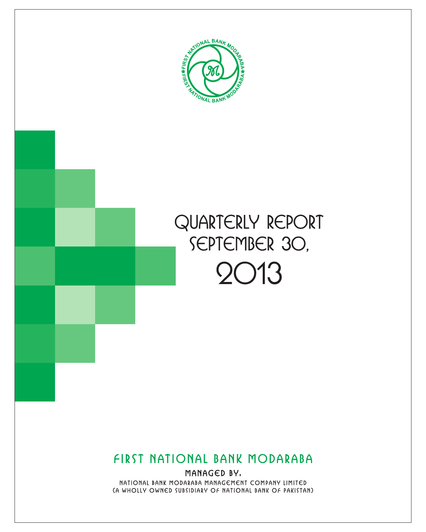



# FIRST NATIONAL BANK MODARABA

MANAGED BY. NATIONAL BANK MODARABA MANAGEMENT COMPANY LIMITED (A WHOLLY OWNED SUBSIDIARY OF NATIONAL BANK OF PAKISTAN)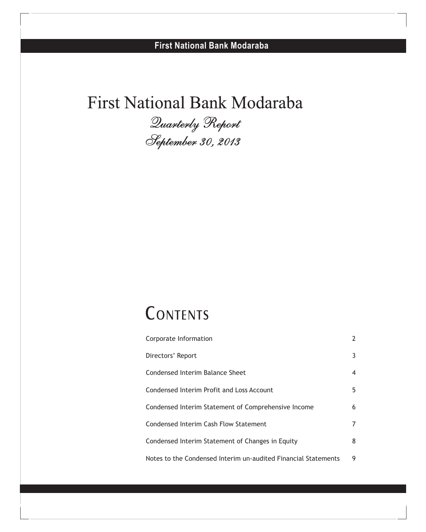# First National Bank Modaraba

*September 30, 2013*

# **CONTENTS**

| Corporate Information                                          | 2  |
|----------------------------------------------------------------|----|
| Directors' Report                                              | 3  |
| Condensed Interim Balance Sheet                                | 4  |
| Condensed Interim Profit and Loss Account                      | 5. |
| Condensed Interim Statement of Comprehensive Income            | 6  |
| Condensed Interim Cash Flow Statement                          | 7  |
| Condensed Interim Statement of Changes in Equity               | 8  |
| Notes to the Condensed Interim un-audited Financial Statements | 9  |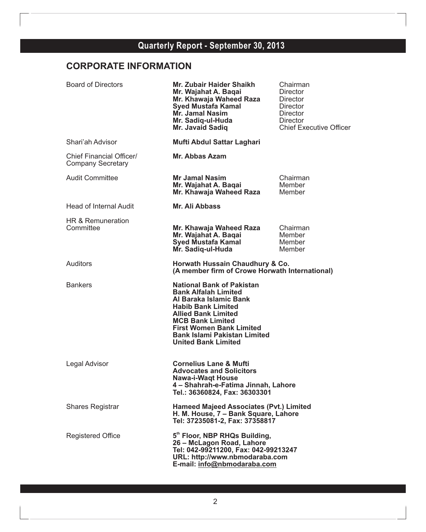# **CORPORATE INFORMATION**

| <b>Board of Directors</b>                            | Mr. Zubair Haider Shaikh<br>Mr. Wajahat A. Baqai<br>Mr. Khawaja Waheed Raza<br><b>Syed Mustafa Kamal</b><br><b>Mr. Jamal Nasim</b><br>Mr. Sadig-ul-Huda<br>Mr. Javaid Sadiq                                                                                                             | Chairman<br>Director<br>Director<br>Director<br>Director<br>Director<br><b>Chief Executive Officer</b> |
|------------------------------------------------------|-----------------------------------------------------------------------------------------------------------------------------------------------------------------------------------------------------------------------------------------------------------------------------------------|--------------------------------------------------------------------------------------------------------|
| Shari'ah Advisor                                     | Mufti Abdul Sattar Laghari                                                                                                                                                                                                                                                              |                                                                                                        |
| Chief Financial Officer/<br><b>Company Secretary</b> | Mr. Abbas Azam                                                                                                                                                                                                                                                                          |                                                                                                        |
| Audit Committee                                      | <b>Mr Jamal Nasim</b><br>Mr. Wajahat A. Baqai<br>Mr. Khawaja Waheed Raza                                                                                                                                                                                                                | Chairman<br>Member<br>Member                                                                           |
| Head of Internal Audit                               | Mr. Ali Abbass                                                                                                                                                                                                                                                                          |                                                                                                        |
| HR & Remuneration<br>Committee                       | Mr. Khawaja Waheed Raza<br>Mr. Wajahat A. Baqai<br><b>Syed Mustafa Kamal</b><br>Mr. Sadiq-ul-Huda                                                                                                                                                                                       | Chairman<br>Member<br>Member<br>Member                                                                 |
| Auditors                                             | Horwath Hussain Chaudhury & Co.<br>(A member firm of Crowe Horwath International)                                                                                                                                                                                                       |                                                                                                        |
| <b>Bankers</b>                                       | <b>National Bank of Pakistan</b><br><b>Bank Alfalah Limited</b><br>Al Baraka Islamic Bank<br><b>Habib Bank Limited</b><br><b>Allied Bank Limited</b><br><b>MCB Bank Limited</b><br><b>First Women Bank Limited</b><br><b>Bank Islami Pakistan Limited</b><br><b>United Bank Limited</b> |                                                                                                        |
| Legal Advisor                                        | <b>Cornelius Lane &amp; Mufti</b><br><b>Advocates and Solicitors</b><br><b>Nawa-i-Waqt House</b><br>4 - Shahrah-e-Fatima Jinnah, Lahore<br>Tel.: 36360824, Fax: 36303301                                                                                                                |                                                                                                        |
| <b>Shares Registrar</b>                              | <b>Hameed Majeed Associates (Pvt.) Limited</b><br>H. M. House, 7 - Bank Square, Lahore<br>Tel: 37235081-2, Fax: 37358817                                                                                                                                                                |                                                                                                        |
| <b>Registered Office</b>                             | 5th Floor, NBP RHQs Building,<br>26 - McLagon Road, Lahore<br>Tel: 042-99211200, Fax: 042-99213247<br>URL: http://www.nbmodaraba.com<br>E-mail: info@nbmodaraba.com                                                                                                                     |                                                                                                        |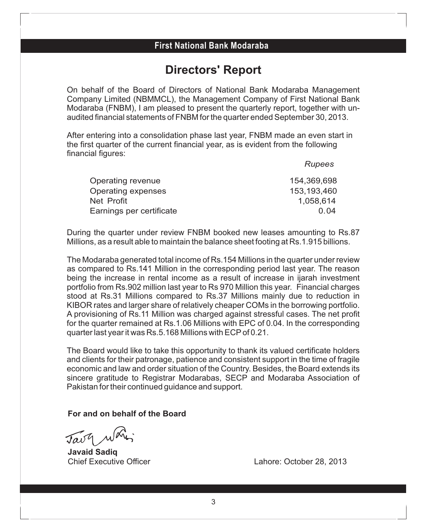# **Directors' Report**

On behalf of the Board of Directors of National Bank Modaraba Management Company Limited (NBMMCL), the Management Company of First National Bank Modaraba (FNBM), I am pleased to present the quarterly report, together with unaudited financial statements of FNBM for the quarter ended September 30, 2013.

After entering into a consolidation phase last year, FNBM made an even start in the first quarter of the current financial year, as is evident from the following financial figures:

|                          | Rupees      |
|--------------------------|-------------|
| Operating revenue        | 154,369,698 |
| Operating expenses       | 153,193,460 |
| Net Profit               | 1,058,614   |
| Earnings per certificate | 0 Q4        |

During the quarter under review FNBM booked new leases amounting to Rs.87 Millions, as a result able to maintain the balance sheet footing at Rs.1.915 billions.

The Modaraba generated total income of Rs.154 Millions in the quarter under review as compared to Rs.141 Million in the corresponding period last year. The reason being the increase in rental income as a result of increase in ijarah investment portfolio from Rs.902 million last year to Rs 970 Million this year. Financial charges stood at Rs.31 Millions compared to Rs.37 Millions mainly due to reduction in KIBOR rates and larger share of relatively cheaper COMs in the borrowing portfolio. A provisioning of Rs.11 Million was charged against stressful cases. The net profit for the quarter remained at Rs.1.06 Millions with EPC of 0.04. In the corresponding quarter last year it was Rs.5.168 Millions with ECPof 0.21.

The Board would like to take this opportunity to thank its valued certificate holders and clients for their patronage, patience and consistent support in the time of fragile economic and law and order situation of the Country. Besides, the Board extends its sincere gratitude to Registrar Modarabas, SECP and Modaraba Association of Pakistan for their continued guidance and support.

### **For and on behalf of the Board**

**Javaid Sadiq**

Lahore: October 28, 2013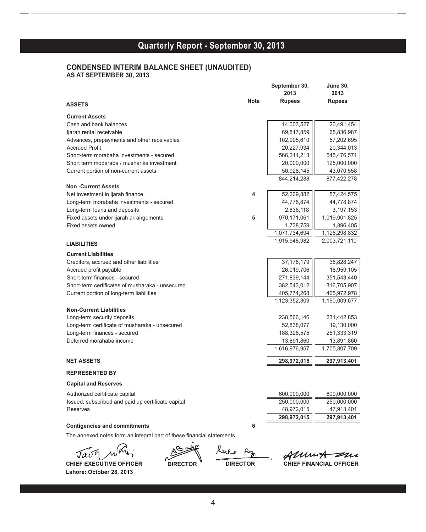### **Quarterly Report - September 30, 2010 Quarterly Report - September 30, 2013**

#### **CONDENSED INTERIM BALANCE SHEET (UNAUDITED) AS AT SEPTEMBER 30, 2013**

|                                                    |             | September 30,<br>2013 | <b>June 30,</b><br>2013 |
|----------------------------------------------------|-------------|-----------------------|-------------------------|
| <b>ASSETS</b>                                      | <b>Note</b> | <b>Rupees</b>         | <b>Rupees</b>           |
| <b>Current Assets</b>                              |             |                       |                         |
| Cash and bank balances                             |             | 14,003,527            | 20,491,454              |
| ljarah rental receivable                           |             | 69,817,859            | 65,836,987              |
| Advances, prepayments and other receivables        |             | 102,995,610           | 57,202,695              |
| <b>Accrued Profit</b>                              |             | 20,227,934            | 20,344,013              |
| Short-term morabaha investments - secured          |             | 566,241,213           | 545,476,571             |
| Short term modaraba / musharika investment         |             | 20,000,000            | 125,000,000             |
| Current portion of non-current assets              |             | 50,928,145            | 43,070,558              |
|                                                    |             | 844,214,288           | 877,422,278             |
| <b>Non-Current Assets</b>                          |             |                       |                         |
| Net investment in ijarah finance                   | 4           | 52,209,882            | 57,424,575              |
| Long-term morabaha investments - secured           |             | 44,778,874            | 44,778,874              |
| Long-term loans and deposits                       |             | 2,836,118             | 3,197,153               |
| Fixed assets under ijarah arrangements             | 5           | 970,171,061           | 1,019,001,825           |
| Fixed assets owned                                 |             | 1,738,759             | 1,896,405               |
|                                                    |             | 1,071,734,694         | 1,126,298,832           |
| <b>LIABILITIES</b>                                 |             | 1,915,948,982         | 2,003,721,110           |
| <b>Current Liabilities</b>                         |             |                       |                         |
| Creditors, accrued and other liabilities           |             | 37, 176, 179          | 36,828,247              |
| Accrued profit payable                             |             | 26,019,706            | 18,959,105              |
| Short-term finances - secured                      |             | 271,839,144           | 351,543,440             |
| Short-term certificates of musharaka - unsecured   |             | 382,543,012           | 316,705,907             |
| Current portion of long-term liabilities           |             | 405,774,268           | 465,972,978             |
|                                                    |             | 1,123,352,309         | 1,190,009,677           |
| <b>Non-Current Liabilities</b>                     |             |                       |                         |
| Long-term security deposits                        |             | 238,566,146           | 231,442,853             |
| Long-term certificate of musharaka - unsecured     |             | 52,838,077            | 19,130,000              |
| Long-term finances - secured                       |             | 188,328,575           | 251,333,319             |
| Deferred morahaba income                           |             | 13,891,860            | 13,891,860              |
|                                                    |             | 1,616,976,967         | 1,705,807,709           |
| <b>NET ASSETS</b>                                  |             | 298,972,015           | 297,913,401             |
| <b>REPRESENTED BY</b>                              |             |                       |                         |
| <b>Capital and Reserves</b>                        |             |                       |                         |
| Authorized certificate capital                     |             | 600,000,000           | 600,000,000             |
| Issued, subscribed and paid up certificate capital |             | 250,000,000           | 250,000,000             |
| <b>Reserves</b>                                    |             | 48,972,015            | 47,913,401              |
|                                                    |             | 298,972,015           | 297,913,401             |
| <b>Contigencies and commitments</b>                | 6           |                       |                         |
| .                                                  |             |                       |                         |

The annexed notes form an integral part of these financial statements.

Tav

**Lahore: October 28, 2013**

Stake Reze

Almut zur **CHIEF EXECUTIVE OFFICER DIRECTOR DIRECTOR CHIEF FINANCIAL OFFICER**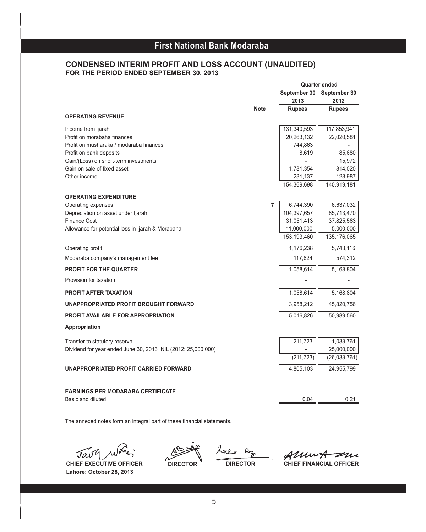### **CONDENSED INTERIM PROFIT AND LOSS ACCOUNT (UNAUDITED) FOR THE PERIOD ENDED SEPTEMBER 30, 2013**

|                                                                      |             |   | <b>Quarter ended</b>      |                          |
|----------------------------------------------------------------------|-------------|---|---------------------------|--------------------------|
|                                                                      |             |   | September 30              | September 30             |
|                                                                      |             |   | 2013                      | 2012                     |
|                                                                      | <b>Note</b> |   | <b>Rupees</b>             | <b>Rupees</b>            |
| <b>OPERATING REVENUE</b>                                             |             |   |                           |                          |
| Income from ijarah                                                   |             |   | 131,340,593               | 117,853,941              |
| Profit on morabaha finances                                          |             |   | 20,263,132                | 22,020,581               |
| Profit on musharaka / modaraba finances                              |             |   | 744,863                   |                          |
| Profit on bank deposits                                              |             |   | 8,619                     | 85,680                   |
| Gain/(Loss) on short-term investments<br>Gain on sale of fixed asset |             |   |                           | 15,972                   |
| Other income                                                         |             |   | 1,781,354<br>231,137      | 814,020<br>128,987       |
|                                                                      |             |   | 154,369,698               | 140,919,181              |
|                                                                      |             |   |                           |                          |
| <b>OPERATING EXPENDITURE</b>                                         |             |   |                           |                          |
| Operating expenses                                                   |             | 7 | 6,744,390                 | 6,637,032                |
| Depreciation on asset under Ijarah<br><b>Finance Cost</b>            |             |   | 104,397,657<br>31,051,413 | 85,713,470<br>37,825,563 |
| Allowance for potential loss in Ijarah & Morabaha                    |             |   | 11,000,000                | 5,000,000                |
|                                                                      |             |   | 153,193,460               | 135, 176, 065            |
| Operating profit                                                     |             |   | 1,176,238                 | 5,743,116                |
| Modaraba company's management fee                                    |             |   | 117,624                   | 574,312                  |
| <b>PROFIT FOR THE QUARTER</b>                                        |             |   | 1,058,614                 | 5,168,804                |
| Provision for taxation                                               |             |   |                           |                          |
| <b>PROFIT AFTER TAXATION</b>                                         |             |   | 1,058,614                 | 5,168,804                |
| UNAPPROPRIATED PROFIT BROUGHT FORWARD                                |             |   | 3,958,212                 | 45,820,756               |
| <b>PROFIT AVAILABLE FOR APPROPRIATION</b>                            |             |   | 5,016,826                 | 50,989,560               |
| Appropriation                                                        |             |   |                           |                          |
| Transfer to statutory reserve                                        |             |   | 211,723                   | 1,033,761                |
| Dividend for year ended June 30, 2013 NIL (2012: 25,000,000)         |             |   |                           | 25,000,000               |
|                                                                      |             |   | (211, 723)                | (26,033,761)             |
| UNAPPROPRIATED PROFIT CARRIED FORWARD                                |             |   | 4,805,103                 | 24,955,799               |
|                                                                      |             |   |                           |                          |
| <b>EARNINGS PER MODARABA CERTIFICATE</b>                             |             |   |                           |                          |
| Basic and diluted                                                    |             |   | 0.04                      | 0.21                     |

The annexed notes form an integral part of these financial statements.

 $\mathcal{J}a\mathcal{J}^{\prime}$ 

**Lahore: October 28, 2013**

 $\overline{z}$  0

AlumA zur **CHIEF EXECUTIVE OFFICER DIRECTOR DIRECTOR CHIEF FINANCIAL OFFICER**

5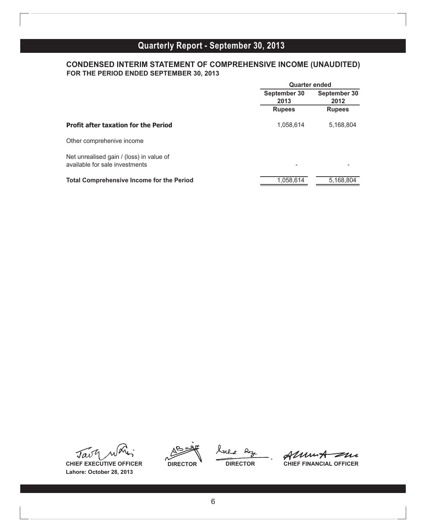### **CONDENSED INTERIM STATEMENT OF COMPREHENSIVE INCOME (UNAUDITED) FOR THE PERIOD ENDED SEPTEMBER 30, 2013**

|                                                                            | <b>Quarter ended</b> |                      |  |
|----------------------------------------------------------------------------|----------------------|----------------------|--|
|                                                                            | September 30<br>2013 | September 30<br>2012 |  |
|                                                                            | <b>Rupees</b>        | <b>Rupees</b>        |  |
| <b>Profit after taxation for the Period</b>                                | 1,058,614            | 5,168,804            |  |
| Other comprehenive income                                                  |                      |                      |  |
| Net unrealised gain / (loss) in value of<br>available for sale investments | -                    |                      |  |
| <b>Total Comprehensive Income for the Period</b>                           | 1.058.614            | 5.168.804            |  |

Tav

**Lahore: October 28, 2013**

harle Roze

Alunt  $\overline{\mathscr{Z}}\mu$ **CHIEF EXECUTIVE OFFICER DIRECTOR DIRECTOR CHIEF FINANCIAL OFFICER**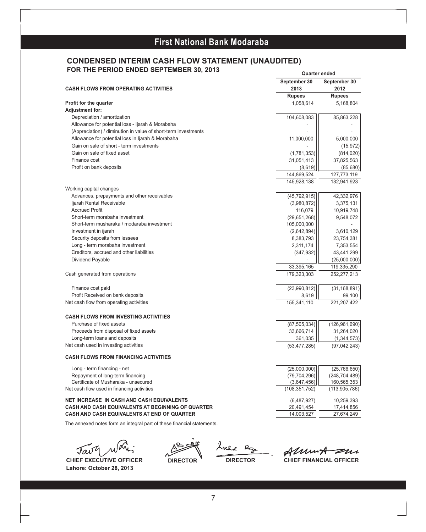#### **CONDENSED INTERIM CASH FLOW STATEMENT (UNAUDITED) FOR THE PERIOD ENDED SEPTEMBER 30, 2013**

| <b>CASH FLOWS FROM OPERATING ACTIVITIES</b>                                        | September 30<br>2013           | September 30<br>2012           |
|------------------------------------------------------------------------------------|--------------------------------|--------------------------------|
|                                                                                    | <b>Rupees</b>                  | <b>Rupees</b>                  |
| Profit for the quarter                                                             | 1.058.614                      | 5,168,804                      |
| <b>Adjustment for:</b>                                                             |                                |                                |
| Depreciation / amortization                                                        | 104,608,083                    | 85,863,228                     |
| Allowance for potential loss - Ijarah & Morabaha                                   |                                |                                |
| (Appreciation) / diminution in value of short-term investments                     |                                |                                |
| Allowance for potential loss in Ijarah & Morabaha                                  | 11,000,000                     | 5,000,000                      |
| Gain on sale of short - term investments                                           |                                | (15, 972)                      |
| Gain on sale of fixed asset                                                        | (1,781,353)                    | (814, 020)                     |
| Finance cost                                                                       | 31,051,413                     | 37,825,563                     |
| Profit on bank deposits                                                            | (8,619)                        | (85,680)                       |
|                                                                                    | 144,869,524                    | 127,773,119                    |
|                                                                                    | 145,928,138                    | 132,941,923                    |
| Working capital changes                                                            |                                |                                |
| Advances, prepayments and other receivables                                        | (45, 792, 915)                 | 42,332,976                     |
| ljarah Rental Receivable                                                           | (3,980,872)                    | 3,375,131                      |
| <b>Accrued Profit</b>                                                              | 116,079                        | 10,919,748                     |
| Short-term morabaha investment                                                     | (29,651,268)                   | 9,548,072                      |
| Short-term musharaka / modaraba investment                                         | 105,000,000                    |                                |
| Investment in ijarah                                                               | (2,642,894)                    | 3,610,129                      |
| Security deposits from lessees                                                     | 8,383,793                      | 23,754,381                     |
| Long - term morabaha investment                                                    | 2,311,174                      | 7,353,554                      |
| Creditors, accrued and other liabilities                                           | (347, 932)                     | 43,441,299                     |
| Dividend Payable                                                                   |                                | (25,000,000)                   |
|                                                                                    | 33,395,165                     | 119,335,290                    |
| Cash generated from operations                                                     | 179,323,303                    | 252,277,213                    |
| Finance cost paid                                                                  | (23,990,812)                   | (31, 168, 891)                 |
| Profit Received on bank deposits                                                   | 8,619                          | 99,100                         |
| Net cash flow from operating activities                                            | 155,341,110                    | 221,207,422                    |
| <b>CASH FLOWS FROM INVESTING ACTIVITIES</b>                                        |                                |                                |
| Purchase of fixed assets                                                           | (87, 505, 034)                 | (126, 961, 690)                |
| Proceeds from disposal of fixed assets                                             | 33,666,714                     | 31,264,020                     |
| Long-term loans and deposits                                                       | 361,035                        | (1, 344, 573)                  |
| Net cash used in investing activities                                              | (53, 477, 285)                 | (97, 042, 243)                 |
| <b>CASH FLOWS FROM FINANCING ACTIVITIES</b>                                        |                                |                                |
|                                                                                    |                                |                                |
| Long - term financing - net                                                        | (25,000,000)                   | (25,766,650)                   |
| Repayment of long-term financing                                                   | (79, 704, 296)                 | (248, 704, 489)                |
| Certificate of Musharaka - unsecured<br>Net cash flow used in financing activities | (3,647,456)<br>(108, 351, 752) | 160,565,353<br>(113, 905, 786) |
|                                                                                    |                                |                                |
| <b>NET INCREASE IN CASH AND CASH EQUIVALENTS</b>                                   | (6,487,927)                    | 10,259,393                     |
| CASH AND CASH EQUIVALENTS AT BEGINNING OF QUARTER                                  | 20,491,454                     | 17,414,856                     |
| <b>CASH AND CASH EQUIVALENTS AT END OF QUARTER</b>                                 | 14,003,527                     | 27,674,249                     |

The annexed notes form an integral part of these financial statements.

Tav

**Lahore: October 28, 2013**

hrhe Reze

í

**CHIEF EXECUTIVE OFFICER DIRECTOR DIRECTOR CHIEF FINANCIAL OFFICER** 

**Quarter ended**

7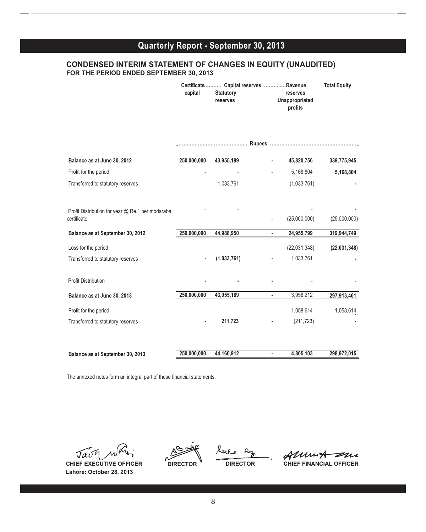#### **CONDENSED INTERIM STATEMENT OF CHANGES IN EQUITY (UNAUDITED) FOR THE PERIOD ENDED SEPTEMBER 30, 2013**

|                                                                 | capital     | Certificate Capital reserves Revenue<br><b>Statutory</b><br>reserves |                          | reserves<br>Unappropriated<br>profits | <b>Total Equity</b> |
|-----------------------------------------------------------------|-------------|----------------------------------------------------------------------|--------------------------|---------------------------------------|---------------------|
|                                                                 |             |                                                                      |                          |                                       |                     |
| Balance as at June 30, 2012                                     | 250,000,000 | 43,955,189                                                           | ä,                       | 45,820,756                            | 339,775,945         |
| Profit for the period                                           |             |                                                                      |                          | 5,168,804                             | 5,168,804           |
| Transferred to statutory reserves                               |             | 1,033,761                                                            |                          | (1,033,761)                           |                     |
|                                                                 |             |                                                                      |                          |                                       |                     |
| Profit Distribution for year @ Re.1 per modaraba<br>certificate |             |                                                                      | $\overline{\phantom{0}}$ | (25,000,000)                          | (25,000,000)        |
| Balance as at September 30, 2012                                | 250,000,000 | 44,988,950                                                           | $\blacksquare$           | 24,955,799                            | 319,944,749         |
| Loss for the period                                             |             |                                                                      |                          | (22,031,348)                          | (22,031,348)        |
| Transferred to statutory reserves                               |             | (1,033,761)                                                          |                          | 1,033,761                             |                     |
| <b>Profit Distribution</b>                                      |             |                                                                      |                          |                                       |                     |
| Balance as at June 30, 2013                                     | 250,000,000 | 43,955,189                                                           |                          | 3,958,212                             | 297,913,401         |
| Profit for the period                                           |             |                                                                      |                          | 1,058,614                             | 1,058,614           |
| Transferred to statutory reserves                               |             | 211,723                                                              |                          | (211, 723)                            |                     |
|                                                                 |             |                                                                      |                          |                                       |                     |
| Balance as at September 30, 2013                                | 250,000,000 | 44,166,912                                                           | ٠                        | 4,805,103                             | 298,972,015         |

The annexed notes form an integral part of these financial statements.

Tav

**Lahore: October 28, 2013**

Ixhe  $Re_{3c}$ 

Almut zur **CHIEF EXECUTIVE OFFICER DIRECTOR DIRECTOR CHIEF FINANCIAL OFFICER**

8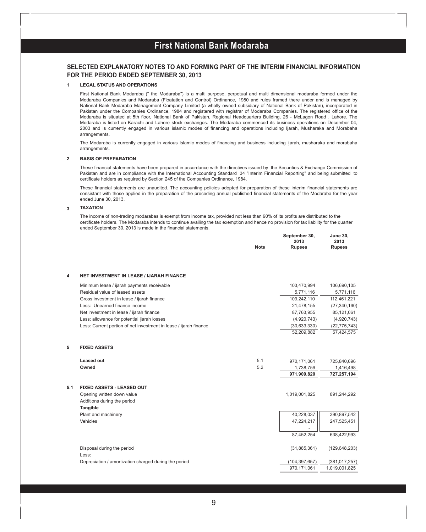#### **SELECTED EXPLANATORY NOTES TO AND FORMING PART OF THE INTERIM FINANCIAL INFORMATION FOR THE PERIOD ENDED SEPTEMBER 30, 2013**

#### **1 LEGAL STATUS AND OPERATIONS**

First National Bank Modaraba (" the Modaraba") is a multi purpose, perpetual and multi dimensional modaraba formed under the Modaraba Companies and Modaraba (Floatation and Control) Ordinance, 1980 and rules framed there under and is managed by National Bank Modaraba Management Company Limited (a wholly owned subsidiary of National Bank of Pakistan), incorporated in Pakistan under the Companies Ordinance, 1984 and registered with registrar of Modaraba Companies. The registered office of the Modaraba is situated at 5th floor, National Bank of Pakistan, Regional Headquarters Building, 26 - McLagon Road , Lahore. The Modaraba is listed on Karachi and Lahore stock exchanges. The Modaraba commenced its business operations on December 04, 2003 and is currently engaged in various islamic modes of financing and operations including Ijarah, Musharaka and Morabaha arrangements.

The Modaraba is currently engaged in various Islamic modes of financing and business including ijarah, musharaka and morabaha arrangements.

#### **2 BASIS OF PREPARATION**

These financial statements have been prepared in accordance with the directives issued by the Securities & Exchange Commission of Pakistan and are in compliance with the International Accounting Standard 34 "Interim Financial Reporting" and being submitted to certificate holders as required by Section 245 of the Companies Ordinance, 1984.

These financial statements are unaudited. The accounting policies adopted for preparation of these interim financial statements are consistant with those applied in the preparation of the preceding annual published financial statements of the Modaraba for the year ended June 30, 2013.

#### **3 TAXATION**

The income of non-trading modarabas is exempt from income tax, provided not less than 90% of its profits are distributed to the certificate holders. The Modaraba intends to continue availing the tax exemption and hence no provision for tax liability for the quarter ended September 30, 2013 is made in the financial statements.

**September 30, June 30,**

|     |                                                                   | <b>Note</b> | 2013<br><b>Rupees</b> | 2013<br><b>Rupees</b> |
|-----|-------------------------------------------------------------------|-------------|-----------------------|-----------------------|
| 4   | <b>NET INVESTMENT IN LEASE / IJARAH FINANCE</b>                   |             |                       |                       |
|     | Minimum lease / ijarah payments receivable                        |             | 103,470,994           | 106,690,105           |
|     | Residual value of leased assets                                   |             | 5,771,116             | 5,771,116             |
|     | Gross investment in lease / ijarah finance                        |             | 109,242,110           | 112,461,221           |
|     | Less: Unearned finance income                                     |             | 21,478,155            | (27, 340, 160)        |
|     | Net investment in lease / ijarah finance                          |             | 87,763,955            | 85,121,061            |
|     | Less: allowance for potential ijarah losses                       |             | (4,920,743)           | (4,920,743)           |
|     | Less: Current portion of net investment in lease / ijarah finance |             | (30,633,330)          | (22, 775, 743)        |
|     |                                                                   |             | 52,209,882            | 57,424,575            |
| 5   | <b>FIXED ASSETS</b>                                               |             |                       |                       |
|     | Leased out                                                        | 5.1         | 970,171,061           | 725,840,696           |
|     | Owned                                                             | 5.2         | 1,738,759             | 1,416,498             |
|     |                                                                   |             | 971,909,820           | 727,257,194           |
| 5.1 | FIXED ASSETS - LEASED OUT                                         |             |                       |                       |
|     | Opening written down value                                        |             | 1,019,001,825         | 891,244,292           |
|     | Additions during the period                                       |             |                       |                       |
|     | Tangible                                                          |             |                       |                       |
|     | Plant and machinery                                               |             | 40,228,037            | 390,897,542           |
|     | Vehicles                                                          |             | 47,224,217            | 247,525,451           |
|     |                                                                   |             |                       |                       |
|     |                                                                   |             | 87,452,254            | 638,422,993           |
|     | Disposal during the period                                        |             | (31, 885, 361)        | (129, 648, 203)       |
|     | Less:                                                             |             |                       |                       |
|     | Depreciation / amortization charged during the period             |             | (104, 397, 657)       | (381, 017, 257)       |
|     |                                                                   |             | 970,171,061           | 1,019,001,825         |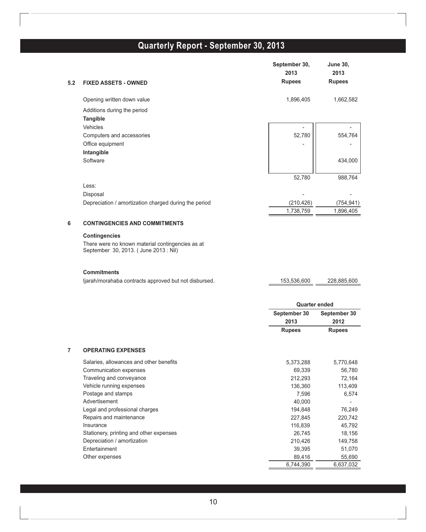| 5.2            | <b>FIXED ASSETS - OWNED</b>                                                              | September 30,<br>2013<br><b>Rupees</b> | <b>June 30,</b><br>2013<br><b>Rupees</b> |
|----------------|------------------------------------------------------------------------------------------|----------------------------------------|------------------------------------------|
|                | Opening written down value                                                               | 1,896,405                              | 1,662,582                                |
|                | Additions during the period                                                              |                                        |                                          |
|                | Tangible                                                                                 |                                        |                                          |
|                | Vehicles                                                                                 |                                        |                                          |
|                | Computers and accessories                                                                | 52,780                                 | 554,764                                  |
|                | Office equipment                                                                         |                                        |                                          |
|                | Intangible                                                                               |                                        |                                          |
|                | Software                                                                                 |                                        | 434,000                                  |
|                |                                                                                          | 52,780                                 | 988,764                                  |
|                | Less:                                                                                    |                                        |                                          |
|                | Disposal                                                                                 |                                        |                                          |
|                | Depreciation / amortization charged during the period                                    | (210, 426)                             | (754, 941)                               |
|                |                                                                                          | 1,738,759                              | 1,896,405                                |
| 6              | <b>CONTINGENCIES AND COMMITMENTS</b>                                                     |                                        |                                          |
|                | <b>Contingencies</b>                                                                     |                                        |                                          |
|                | There were no known material contingencies as at<br>September 30, 2013. (June 2013: Nil) |                                        |                                          |
|                | <b>Commitments</b><br>ljarah/morahaba contracts approved but not disbursed.              | 153,536,600                            | 228,885,600                              |
|                |                                                                                          | <b>Quarter ended</b>                   |                                          |
|                |                                                                                          | September 30                           | September 30                             |
|                |                                                                                          | 2013                                   | 2012                                     |
|                |                                                                                          | <b>Rupees</b>                          | <b>Rupees</b>                            |
| $\overline{7}$ | <b>OPERATING EXPENSES</b>                                                                |                                        |                                          |
|                | Salaries, allowances and other benefits                                                  | 5,373,288                              | 5,770,648                                |
|                | Communication expenses                                                                   | 69,339                                 | 56,780                                   |
|                | Traveling and conveyance                                                                 | 212,293                                | 72,164                                   |
|                | Vehicle running expenses                                                                 | 136,360                                | 113,409                                  |
|                | Postage and stamps                                                                       | 7,596                                  | 6,574                                    |
|                | Advertisement                                                                            | 40,000                                 |                                          |
|                | Legal and professional charges<br>Repairs and maintenance                                | 194,848<br>227,845                     | 76,249<br>220,742                        |
|                | Insurance                                                                                | 116,839                                | 45,792                                   |
|                | Stationery, printing and other expenses                                                  | 26,745                                 | 18,156                                   |
|                | Depreciation / amortization                                                              | 210,426                                | 149,758                                  |
|                | Entertainment                                                                            | 39,395                                 | 51,070                                   |
|                | Other expenses                                                                           | 89,416                                 | 55,690                                   |
|                |                                                                                          | 6,744,390                              | 6,637,032                                |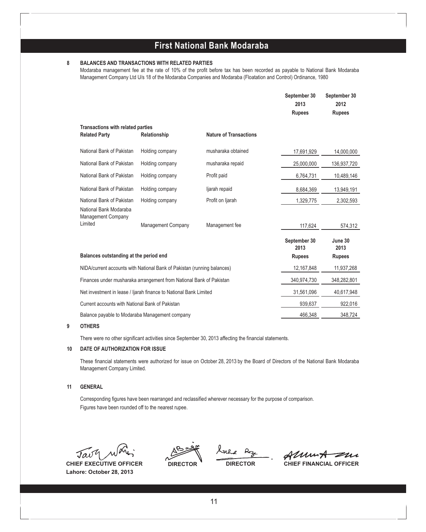#### **8 BALANCES AND TRANSACTIONS WITH RELATED PARTIES**

Modaraba management fee at the rate of 10% of the profit before tax has been recorded as payable to National Bank Modaraba Management Company Ltd U/s 18 of the Modaraba Companies and Modaraba (Floatation and Control) Ordinance, 1980

|                                                                     |                                                                         |                               | September 30<br>2013 | September 30<br>2012 |
|---------------------------------------------------------------------|-------------------------------------------------------------------------|-------------------------------|----------------------|----------------------|
|                                                                     |                                                                         |                               | <b>Rupees</b>        | <b>Rupees</b>        |
| <b>Transactions with related parties</b><br><b>Related Party</b>    | Relationship                                                            | <b>Nature of Transactions</b> |                      |                      |
| National Bank of Pakistan                                           | Holding company                                                         | musharaka obtained            | 17,691,929           | 14,000,000           |
| National Bank of Pakistan                                           | Holding company                                                         | musharaka repaid              | 25,000,000           | 136,937,720          |
| National Bank of Pakistan                                           | Holding company                                                         | Profit paid                   | 6,764,731            | 10,489,146           |
| National Bank of Pakistan                                           | Holding company                                                         | ljarah repaid                 | 8,684,369            | 13,949,191           |
| National Bank of Pakistan                                           | Holding company                                                         | Profit on Ijarah              | 1,329,775            | 2,302,593            |
| National Bank Modaraba<br>Management Company                        |                                                                         |                               |                      |                      |
| Limited                                                             | Management Company                                                      | Management fee                | 117,624              | 574,312              |
|                                                                     |                                                                         |                               | September 30<br>2013 | June 30<br>2013      |
| Balances outstanding at the period end                              |                                                                         |                               | <b>Rupees</b>        | <b>Rupees</b>        |
|                                                                     | NIDA/current accounts with National Bank of Pakistan (running balances) |                               | 12,167,848           | 11,937,268           |
| Finances under musharaka arrangement from National Bank of Pakistan |                                                                         | 340,974,730                   | 348,282,801          |                      |
| Net investment in lease / ljarah finance to National Bank Limited   |                                                                         | 31,561,096                    | 40,617,948           |                      |
| Current accounts with National Bank of Pakistan                     |                                                                         |                               | 939,637              | 922,016              |
| Balance payable to Modaraba Management company                      |                                                                         |                               | 466,348              | 348,724              |

#### **9 OTHERS**

There were no other significant activities since September 30, 2013 affecting the financial statements.

#### **10 DATE OF AUTHORIZATION FOR ISSUE**

These financial statements were authorized for issue on October 28, 2013 by the Board of Directors of the National Bank Modaraba Management Company Limited.

#### **11 GENERAL**

Corresponding figures have been rearranged and reclassified wherever necessary for the purpose of comparison. Figures have been rounded off to the nearest rupee.

Tavy

**Lahore: October 28, 2013**

í

Almut zur **CHIEF EXECUTIVE OFFICER DIRECTOR DIRECTOR CHIEF FINANCIAL OFFICER**